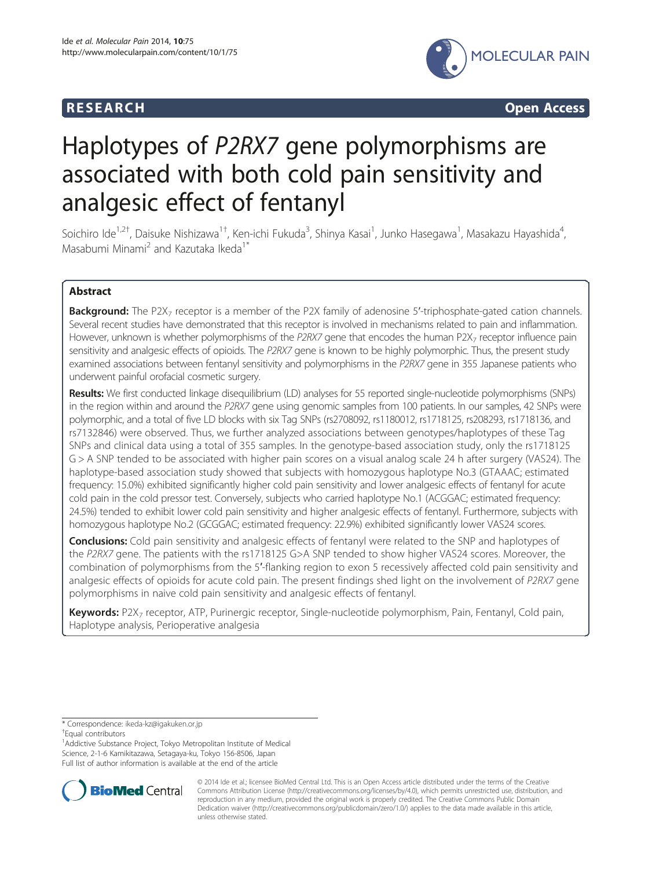

**RESEARCH RESEARCH CONSUMING ACCESS** 

# Haplotypes of P2RX7 gene polymorphisms are associated with both cold pain sensitivity and analgesic effect of fentanyl

Soichiro Ide<sup>1,2†</sup>, Daisuke Nishizawa<sup>1†</sup>, Ken-ichi Fukuda<sup>3</sup>, Shinya Kasai<sup>1</sup>, Junko Hasegawa<sup>1</sup>, Masakazu Hayashida<sup>4</sup> , Masabumi Minami<sup>2</sup> and Kazutaka Ikeda<sup>1\*</sup>

# Abstract

Background: The P2X<sub>7</sub> receptor is a member of the P2X family of adenosine 5'-triphosphate-gated cation channels. Several recent studies have demonstrated that this receptor is involved in mechanisms related to pain and inflammation. However, unknown is whether polymorphisms of the P2RX7 gene that encodes the human P2X<sub>7</sub> receptor influence pain sensitivity and analgesic effects of opioids. The P2RX7 gene is known to be highly polymorphic. Thus, the present study examined associations between fentanyl sensitivity and polymorphisms in the P2RX7 gene in 355 Japanese patients who underwent painful orofacial cosmetic surgery.

Results: We first conducted linkage disequilibrium (LD) analyses for 55 reported single-nucleotide polymorphisms (SNPs) in the region within and around the P2RX7 gene using genomic samples from 100 patients. In our samples, 42 SNPs were polymorphic, and a total of five LD blocks with six Tag SNPs (rs2708092, rs1180012, rs1718125, rs208293, rs1718136, and rs7132846) were observed. Thus, we further analyzed associations between genotypes/haplotypes of these Tag SNPs and clinical data using a total of 355 samples. In the genotype-based association study, only the rs1718125 G > A SNP tended to be associated with higher pain scores on a visual analog scale 24 h after surgery (VAS24). The haplotype-based association study showed that subjects with homozygous haplotype No.3 (GTAAAC; estimated frequency: 15.0%) exhibited significantly higher cold pain sensitivity and lower analgesic effects of fentanyl for acute cold pain in the cold pressor test. Conversely, subjects who carried haplotype No.1 (ACGGAC; estimated frequency: 24.5%) tended to exhibit lower cold pain sensitivity and higher analgesic effects of fentanyl. Furthermore, subjects with homozygous haplotype No.2 (GCGGAC; estimated frequency: 22.9%) exhibited significantly lower VAS24 scores.

**Conclusions:** Cold pain sensitivity and analgesic effects of fentanyl were related to the SNP and haplotypes of the P2RX7 gene. The patients with the rs1718125 G>A SNP tended to show higher VAS24 scores. Moreover, the combination of polymorphisms from the 5′-flanking region to exon 5 recessively affected cold pain sensitivity and analgesic effects of opioids for acute cold pain. The present findings shed light on the involvement of P2RX7 gene polymorphisms in naive cold pain sensitivity and analgesic effects of fentanyl.

Keywords: P2X<sub>7</sub> receptor, ATP, Purinergic receptor, Single-nucleotide polymorphism, Pain, Fentanyl, Cold pain, Haplotype analysis, Perioperative analgesia

\* Correspondence: [ikeda-kz@igakuken.or.jp](mailto:ikeda-kz@igakuken.or.jp) †

Equal contributors

<sup>1</sup> Addictive Substance Project, Tokyo Metropolitan Institute of Medical Science, 2-1-6 Kamikitazawa, Setagaya-ku, Tokyo 156-8506, Japan Full list of author information is available at the end of the article



© 2014 Ide et al.; licensee BioMed Central Ltd. This is an Open Access article distributed under the terms of the Creative Commons Attribution License [\(http://creativecommons.org/licenses/by/4.0\)](http://creativecommons.org/licenses/by/4.0), which permits unrestricted use, distribution, and reproduction in any medium, provided the original work is properly credited. The Creative Commons Public Domain Dedication waiver [\(http://creativecommons.org/publicdomain/zero/1.0/](http://creativecommons.org/publicdomain/zero/1.0/)) applies to the data made available in this article, unless otherwise stated.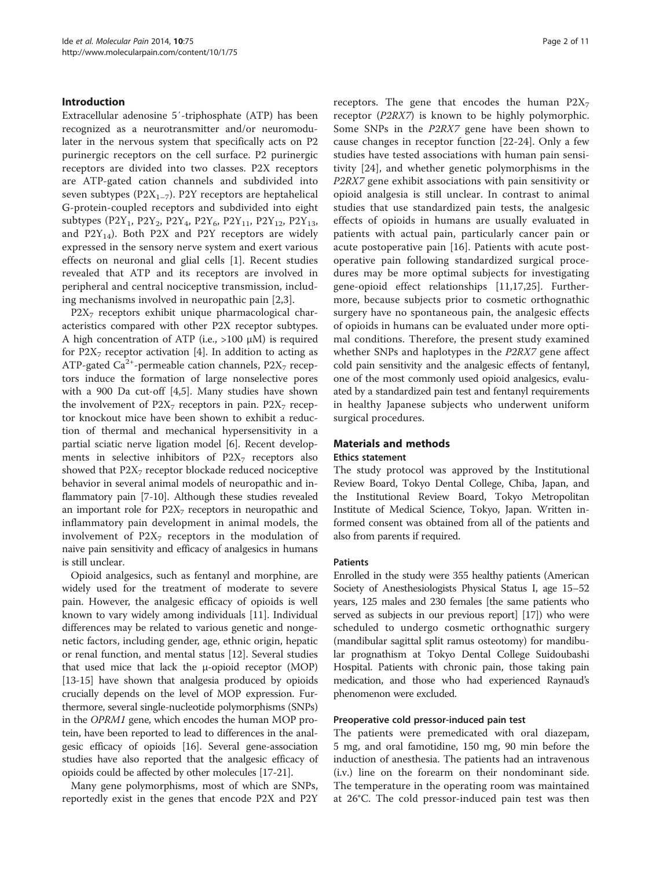### Introduction

Extracellular adenosine 5′-triphosphate (ATP) has been recognized as a neurotransmitter and/or neuromodulater in the nervous system that specifically acts on P2 purinergic receptors on the cell surface. P2 purinergic receptors are divided into two classes. P2X receptors are ATP-gated cation channels and subdivided into seven subtypes ( $P2X_{1-7}$ ). P2Y receptors are heptahelical G-protein-coupled receptors and subdivided into eight subtypes (P2Y<sub>1</sub>, P2Y<sub>2</sub>, P2Y<sub>4</sub>, P2Y<sub>6</sub>, P2Y<sub>11</sub>, P2Y<sub>12</sub>, P2Y<sub>13</sub>, and P2Y<sub>14</sub>). Both P2X and P2Y receptors are widely expressed in the sensory nerve system and exert various effects on neuronal and glial cells [\[1](#page-8-0)]. Recent studies revealed that ATP and its receptors are involved in peripheral and central nociceptive transmission, including mechanisms involved in neuropathic pain [[2,3\]](#page-8-0).

 $P2X<sub>7</sub>$  receptors exhibit unique pharmacological characteristics compared with other P2X receptor subtypes. A high concentration of ATP (i.e.,  $>100 \mu M$ ) is required for  $P2X_7$  receptor activation [[4\]](#page-8-0). In addition to acting as ATP-gated Ca<sup>2+</sup>-permeable cation channels,  $P2X<sub>7</sub>$  receptors induce the formation of large nonselective pores with a 900 Da cut-off [\[4,5](#page-8-0)]. Many studies have shown the involvement of  $P2X_7$  receptors in pain.  $P2X_7$  receptor knockout mice have been shown to exhibit a reduction of thermal and mechanical hypersensitivity in a partial sciatic nerve ligation model [\[6](#page-8-0)]. Recent developments in selective inhibitors of  $P2X<sub>7</sub>$  receptors also showed that  $P2X<sub>7</sub>$  receptor blockade reduced nociceptive behavior in several animal models of neuropathic and inflammatory pain [[7](#page-8-0)-[10](#page-9-0)]. Although these studies revealed an important role for  $P2X<sub>7</sub>$  receptors in neuropathic and inflammatory pain development in animal models, the involvement of  $P2X_7$  receptors in the modulation of naive pain sensitivity and efficacy of analgesics in humans is still unclear.

Opioid analgesics, such as fentanyl and morphine, are widely used for the treatment of moderate to severe pain. However, the analgesic efficacy of opioids is well known to vary widely among individuals [\[11\]](#page-9-0). Individual differences may be related to various genetic and nongenetic factors, including gender, age, ethnic origin, hepatic or renal function, and mental status [[12](#page-9-0)]. Several studies that used mice that lack the μ-opioid receptor (MOP) [[13](#page-9-0)-[15](#page-9-0)] have shown that analgesia produced by opioids crucially depends on the level of MOP expression. Furthermore, several single-nucleotide polymorphisms (SNPs) in the OPRM1 gene, which encodes the human MOP protein, have been reported to lead to differences in the analgesic efficacy of opioids [[16](#page-9-0)]. Several gene-association studies have also reported that the analgesic efficacy of opioids could be affected by other molecules [\[17-21\]](#page-9-0).

Many gene polymorphisms, most of which are SNPs, reportedly exist in the genes that encode P2X and P2Y receptors. The gene that encodes the human  $P2X_7$ receptor (P2RX7) is known to be highly polymorphic. Some SNPs in the P2RX7 gene have been shown to cause changes in receptor function [[22-24](#page-9-0)]. Only a few studies have tested associations with human pain sensitivity [\[24](#page-9-0)], and whether genetic polymorphisms in the P2RX7 gene exhibit associations with pain sensitivity or opioid analgesia is still unclear. In contrast to animal studies that use standardized pain tests, the analgesic effects of opioids in humans are usually evaluated in patients with actual pain, particularly cancer pain or acute postoperative pain [\[16](#page-9-0)]. Patients with acute postoperative pain following standardized surgical procedures may be more optimal subjects for investigating gene-opioid effect relationships [\[11,17](#page-9-0),[25\]](#page-9-0). Furthermore, because subjects prior to cosmetic orthognathic surgery have no spontaneous pain, the analgesic effects of opioids in humans can be evaluated under more optimal conditions. Therefore, the present study examined whether SNPs and haplotypes in the P2RX7 gene affect cold pain sensitivity and the analgesic effects of fentanyl, one of the most commonly used opioid analgesics, evaluated by a standardized pain test and fentanyl requirements in healthy Japanese subjects who underwent uniform surgical procedures.

#### Materials and methods

#### Ethics statement

The study protocol was approved by the Institutional Review Board, Tokyo Dental College, Chiba, Japan, and the Institutional Review Board, Tokyo Metropolitan Institute of Medical Science, Tokyo, Japan. Written informed consent was obtained from all of the patients and also from parents if required.

#### Patients

Enrolled in the study were 355 healthy patients (American Society of Anesthesiologists Physical Status I, age 15–52 years, 125 males and 230 females [the same patients who served as subjects in our previous report] [\[17](#page-9-0)]) who were scheduled to undergo cosmetic orthognathic surgery (mandibular sagittal split ramus osteotomy) for mandibular prognathism at Tokyo Dental College Suidoubashi Hospital. Patients with chronic pain, those taking pain medication, and those who had experienced Raynaud's phenomenon were excluded.

#### Preoperative cold pressor-induced pain test

The patients were premedicated with oral diazepam, 5 mg, and oral famotidine, 150 mg, 90 min before the induction of anesthesia. The patients had an intravenous (i.v.) line on the forearm on their nondominant side. The temperature in the operating room was maintained at 26°C. The cold pressor-induced pain test was then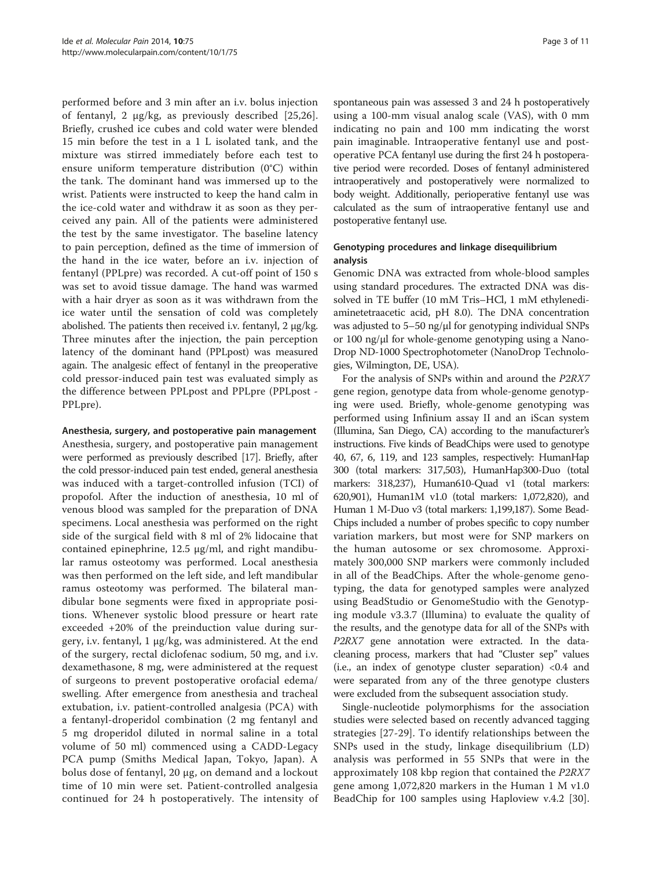performed before and 3 min after an i.v. bolus injection of fentanyl, 2 μg/kg, as previously described [[25,26](#page-9-0)]. Briefly, crushed ice cubes and cold water were blended 15 min before the test in a 1 L isolated tank, and the mixture was stirred immediately before each test to ensure uniform temperature distribution (0°C) within the tank. The dominant hand was immersed up to the wrist. Patients were instructed to keep the hand calm in the ice-cold water and withdraw it as soon as they perceived any pain. All of the patients were administered the test by the same investigator. The baseline latency to pain perception, defined as the time of immersion of the hand in the ice water, before an i.v. injection of fentanyl (PPLpre) was recorded. A cut-off point of 150 s was set to avoid tissue damage. The hand was warmed with a hair dryer as soon as it was withdrawn from the ice water until the sensation of cold was completely abolished. The patients then received i.v. fentanyl, 2 μg/kg. Three minutes after the injection, the pain perception latency of the dominant hand (PPLpost) was measured again. The analgesic effect of fentanyl in the preoperative cold pressor-induced pain test was evaluated simply as the difference between PPLpost and PPLpre (PPLpost - PPLpre).

Anesthesia, surgery, and postoperative pain management Anesthesia, surgery, and postoperative pain management were performed as previously described [[17](#page-9-0)]. Briefly, after the cold pressor-induced pain test ended, general anesthesia was induced with a target-controlled infusion (TCI) of propofol. After the induction of anesthesia, 10 ml of venous blood was sampled for the preparation of DNA specimens. Local anesthesia was performed on the right side of the surgical field with 8 ml of 2% lidocaine that contained epinephrine, 12.5 μg/ml, and right mandibular ramus osteotomy was performed. Local anesthesia was then performed on the left side, and left mandibular ramus osteotomy was performed. The bilateral mandibular bone segments were fixed in appropriate positions. Whenever systolic blood pressure or heart rate exceeded +20% of the preinduction value during surgery, i.v. fentanyl, 1 μg/kg, was administered. At the end of the surgery, rectal diclofenac sodium, 50 mg, and i.v. dexamethasone, 8 mg, were administered at the request of surgeons to prevent postoperative orofacial edema/ swelling. After emergence from anesthesia and tracheal extubation, i.v. patient-controlled analgesia (PCA) with a fentanyl-droperidol combination (2 mg fentanyl and 5 mg droperidol diluted in normal saline in a total volume of 50 ml) commenced using a CADD-Legacy PCA pump (Smiths Medical Japan, Tokyo, Japan). A bolus dose of fentanyl, 20 μg, on demand and a lockout time of 10 min were set. Patient-controlled analgesia continued for 24 h postoperatively. The intensity of

spontaneous pain was assessed 3 and 24 h postoperatively using a 100-mm visual analog scale (VAS), with 0 mm indicating no pain and 100 mm indicating the worst pain imaginable. Intraoperative fentanyl use and postoperative PCA fentanyl use during the first 24 h postoperative period were recorded. Doses of fentanyl administered intraoperatively and postoperatively were normalized to body weight. Additionally, perioperative fentanyl use was calculated as the sum of intraoperative fentanyl use and postoperative fentanyl use.

# Genotyping procedures and linkage disequilibrium analysis

Genomic DNA was extracted from whole-blood samples using standard procedures. The extracted DNA was dissolved in TE buffer (10 mM Tris–HCl, 1 mM ethylenediaminetetraacetic acid, pH 8.0). The DNA concentration was adjusted to 5–50 ng/μl for genotyping individual SNPs or 100 ng/μl for whole-genome genotyping using a Nano-Drop ND-1000 Spectrophotometer (NanoDrop Technologies, Wilmington, DE, USA).

For the analysis of SNPs within and around the P2RX7 gene region, genotype data from whole-genome genotyping were used. Briefly, whole-genome genotyping was performed using Infinium assay II and an iScan system (Illumina, San Diego, CA) according to the manufacturer's instructions. Five kinds of BeadChips were used to genotype 40, 67, 6, 119, and 123 samples, respectively: HumanHap 300 (total markers: 317,503), HumanHap300-Duo (total markers: 318,237), Human610-Quad v1 (total markers: 620,901), Human1M v1.0 (total markers: 1,072,820), and Human 1 M-Duo v3 (total markers: 1,199,187). Some Bead-Chips included a number of probes specific to copy number variation markers, but most were for SNP markers on the human autosome or sex chromosome. Approximately 300,000 SNP markers were commonly included in all of the BeadChips. After the whole-genome genotyping, the data for genotyped samples were analyzed using BeadStudio or GenomeStudio with the Genotyping module v3.3.7 (Illumina) to evaluate the quality of the results, and the genotype data for all of the SNPs with P2RX7 gene annotation were extracted. In the datacleaning process, markers that had "Cluster sep" values (i.e., an index of genotype cluster separation) <0.4 and were separated from any of the three genotype clusters were excluded from the subsequent association study.

Single-nucleotide polymorphisms for the association studies were selected based on recently advanced tagging strategies [\[27](#page-9-0)-[29\]](#page-9-0). To identify relationships between the SNPs used in the study, linkage disequilibrium (LD) analysis was performed in 55 SNPs that were in the approximately 108 kbp region that contained the P2RX7 gene among 1,072,820 markers in the Human 1 M v1.0 BeadChip for 100 samples using Haploview v.4.2 [\[30](#page-9-0)].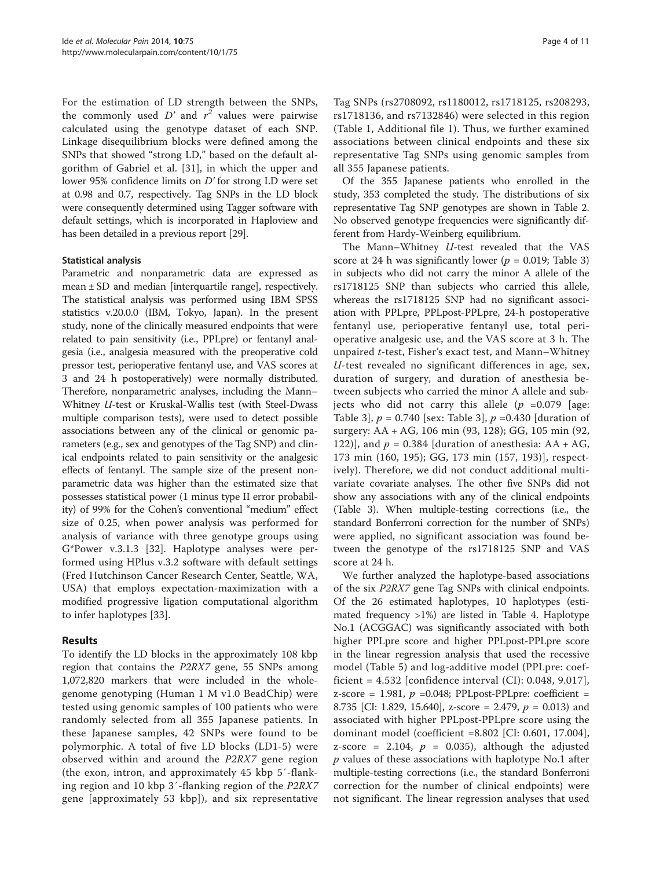For the estimation of LD strength between the SNPs, the commonly used  $D'$  and  $r^2$  values were pairwise calculated using the genotype dataset of each SNP. Linkage disequilibrium blocks were defined among the SNPs that showed "strong LD," based on the default algorithm of Gabriel et al. [\[31](#page-9-0)], in which the upper and lower 95% confidence limits on D' for strong LD were set at 0.98 and 0.7, respectively. Tag SNPs in the LD block were consequently determined using Tagger software with default settings, which is incorporated in Haploview and has been detailed in a previous report [\[29\]](#page-9-0).

# Statistical analysis

Parametric and nonparametric data are expressed as mean ± SD and median [interquartile range], respectively. The statistical analysis was performed using IBM SPSS statistics v.20.0.0 (IBM, Tokyo, Japan). In the present study, none of the clinically measured endpoints that were related to pain sensitivity (i.e., PPLpre) or fentanyl analgesia (i.e., analgesia measured with the preoperative cold pressor test, perioperative fentanyl use, and VAS scores at 3 and 24 h postoperatively) were normally distributed. Therefore, nonparametric analyses, including the Mann– Whitney U-test or Kruskal-Wallis test (with Steel-Dwass multiple comparison tests), were used to detect possible associations between any of the clinical or genomic parameters (e.g., sex and genotypes of the Tag SNP) and clinical endpoints related to pain sensitivity or the analgesic effects of fentanyl. The sample size of the present nonparametric data was higher than the estimated size that possesses statistical power (1 minus type II error probability) of 99% for the Cohen's conventional "medium" effect size of 0.25, when power analysis was performed for analysis of variance with three genotype groups using G\*Power v.3.1.3 [\[32](#page-9-0)]. Haplotype analyses were performed using HPlus v.3.2 software with default settings (Fred Hutchinson Cancer Research Center, Seattle, WA, USA) that employs expectation-maximization with a modified progressive ligation computational algorithm to infer haplotypes [\[33](#page-9-0)].

# Results

To identify the LD blocks in the approximately 108 kbp region that contains the P2RX7 gene, 55 SNPs among 1,072,820 markers that were included in the wholegenome genotyping (Human 1 M v1.0 BeadChip) were tested using genomic samples of 100 patients who were randomly selected from all 355 Japanese patients. In these Japanese samples, 42 SNPs were found to be polymorphic. A total of five LD blocks (LD1-5) were observed within and around the P2RX7 gene region (the exon, intron, and approximately 45 kbp 5′-flanking region and 10 kbp 3′-flanking region of the P2RX7 gene [approximately 53 kbp]), and six representative

Tag SNPs (rs2708092, rs1180012, rs1718125, rs208293, rs1718136, and rs7132846) were selected in this region (Table [1](#page-4-0), Additional file [1](#page-8-0)). Thus, we further examined associations between clinical endpoints and these six representative Tag SNPs using genomic samples from all 355 Japanese patients.

Of the 355 Japanese patients who enrolled in the study, 353 completed the study. The distributions of six representative Tag SNP genotypes are shown in Table [2](#page-5-0). No observed genotype frequencies were significantly different from Hardy-Weinberg equilibrium.

The Mann–Whitney U-test revealed that the VAS score at 24 h was significantly lower ( $p = 0.019$ ; Table [3](#page-6-0)) in subjects who did not carry the minor A allele of the rs1718125 SNP than subjects who carried this allele, whereas the rs1718125 SNP had no significant association with PPLpre, PPLpost-PPLpre, 24-h postoperative fentanyl use, perioperative fentanyl use, total perioperative analgesic use, and the VAS score at 3 h. The unpaired t-test, Fisher's exact test, and Mann–Whitney U-test revealed no significant differences in age, sex, duration of surgery, and duration of anesthesia between subjects who carried the minor A allele and subjects who did not carry this allele  $(p = 0.079)$  [age: Table [3\]](#page-6-0),  $p = 0.740$  [sex: Table 3],  $p = 0.430$  [duration of surgery: AA + AG, 106 min (93, 128); GG, 105 min (92, 122)], and  $p = 0.384$  [duration of anesthesia: AA + AG, 173 min (160, 195); GG, 173 min (157, 193)], respectively). Therefore, we did not conduct additional multivariate covariate analyses. The other five SNPs did not show any associations with any of the clinical endpoints (Table [3\)](#page-6-0). When multiple-testing corrections (i.e., the standard Bonferroni correction for the number of SNPs) were applied, no significant association was found between the genotype of the rs1718125 SNP and VAS score at 24 h.

We further analyzed the haplotype-based associations of the six P2RX7 gene Tag SNPs with clinical endpoints. Of the 26 estimated haplotypes, 10 haplotypes (estimated frequency >1%) are listed in Table [4](#page-6-0). Haplotype No.1 (ACGGAC) was significantly associated with both higher PPLpre score and higher PPLpost-PPLpre score in the linear regression analysis that used the recessive model (Table [5](#page-7-0)) and log-additive model (PPLpre: coefficient = 4.532 [confidence interval (CI): 0.048, 9.017], z-score = 1.981,  $p$  =0.048; PPLpost-PPLpre: coefficient = 8.735 [CI: 1.829, 15.640], z-score = 2.479,  $p = 0.013$ ) and associated with higher PPLpost-PPLpre score using the dominant model (coefficient =8.802 [CI: 0.601, 17.004], z-score = 2.104,  $p = 0.035$ , although the adjusted  $p$  values of these associations with haplotype No.1 after multiple-testing corrections (i.e., the standard Bonferroni correction for the number of clinical endpoints) were not significant. The linear regression analyses that used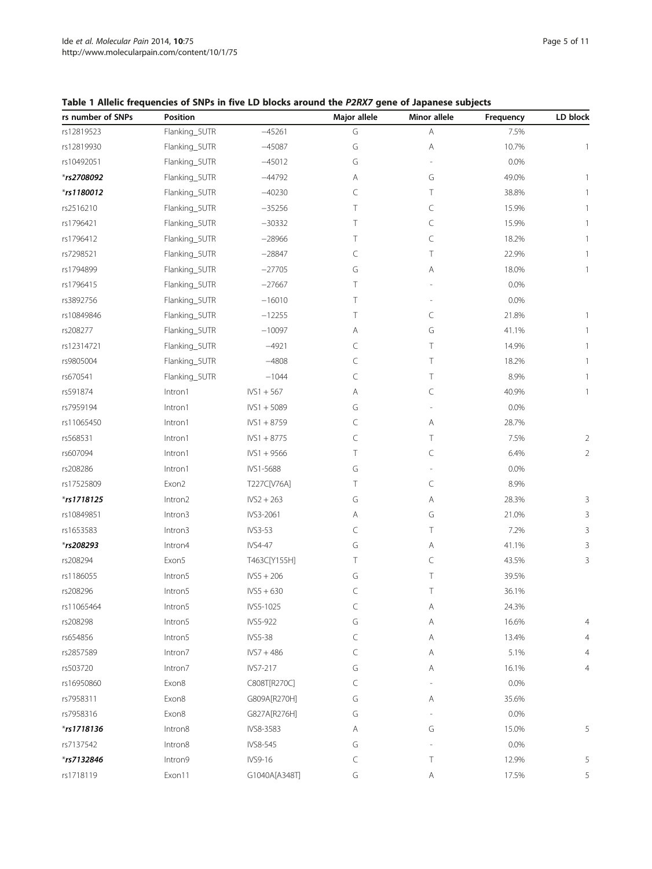| rs number of SNPs | Position      |                | Major allele | Minor allele | Frequency | LD block       |
|-------------------|---------------|----------------|--------------|--------------|-----------|----------------|
| rs12819523        | Flanking_5UTR | $-45261$       | G            | Α            | 7.5%      |                |
| rs12819930        | Flanking_5UTR | $-45087$       | G            | Α            | 10.7%     | 1              |
| rs10492051        | Flanking_5UTR | $-45012$       | G            |              | 0.0%      |                |
| *rs2708092        | Flanking_5UTR | $-44792$       | Α            | G            | 49.0%     |                |
| *rs1180012        | Flanking_5UTR | $-40230$       | C            | Τ            | 38.8%     |                |
| rs2516210         | Flanking_5UTR | $-35256$       | Τ            | C            | 15.9%     |                |
| rs1796421         | Flanking_5UTR | $-30332$       | Т            | C            | 15.9%     |                |
| rs1796412         | Flanking_5UTR | $-28966$       | Τ            | C            | 18.2%     |                |
| rs7298521         | Flanking_5UTR | $-28847$       | C            | Τ            | 22.9%     |                |
| rs1794899         | Flanking_5UTR | $-27705$       | G            | Α            | 18.0%     | 1              |
| rs1796415         | Flanking_5UTR | $-27667$       | Τ            |              | 0.0%      |                |
| rs3892756         | Flanking_5UTR | $-16010$       | Τ            |              | 0.0%      |                |
| rs10849846        | Flanking_5UTR | $-12255$       | т            | C            | 21.8%     |                |
| rs208277          | Flanking_5UTR | $-10097$       | Α            | G            | 41.1%     |                |
| rs12314721        | Flanking_5UTR | $-4921$        | C            | Τ            | 14.9%     | 1              |
| rs9805004         | Flanking_5UTR | $-4808$        | C            | Τ            | 18.2%     |                |
| rs670541          | Flanking_5UTR | $-1044$        | C            | Τ            | 8.9%      |                |
| rs591874          | Intron1       | $IVS1 + 567$   | Α            | C            | 40.9%     | 1              |
| rs7959194         | Intron1       | $IVS1 + 5089$  | G            |              | 0.0%      |                |
| rs11065450        | Intron1       | $IVS1 + 8759$  | C            | Α            | 28.7%     |                |
| rs568531          | Intron1       | $IVS1 + 8775$  | C            | Τ            | 7.5%      | 2              |
| rs607094          | Intron1       | $IVS1 + 9566$  | Τ            | C            | 6.4%      | $\overline{2}$ |
| rs208286          | Intron1       | IVS1-5688      | G            |              | 0.0%      |                |
| rs17525809        | Exon2         | T227C[V76A]    | Τ            | C            | 8.9%      |                |
| $*$ rs1718125     | Intron2       | $IVS2 + 263$   | G            | Α            | 28.3%     | 3              |
| rs10849851        | Intron3       | IVS3-2061      | Α            | G            | 21.0%     | 3              |
| rs1653583         | Intron3       | IVS3-53        | C            | Τ            | 7.2%      | 3              |
| *rs208293         | Intron4       | IVS4-47        | G            | Α            | 41.1%     | 3              |
| rs208294          | Exon5         | T463C[Y155H]   | Τ            | C            | 43.5%     | 3              |
| rs1186055         | Intron5       | $IVS5 + 206$   | G            | Τ            | 39.5%     |                |
| rs208296          | Intron5       | $IVS5 + 630$   | C            | Τ            | 36.1%     |                |
| rs11065464        | Intron5       | IVS5-1025      | C            | Α            | 24.3%     |                |
| rs208298          | Intron5       | IVS5-922       | G            | Α            | 16.6%     | 4              |
| rs654856          | Intron5       | <b>IVS5-38</b> | C            | Α            | 13.4%     | 4              |
| rs2857589         | Intron7       | $IVS7 + 486$   | C            | Α            | 5.1%      | 4              |
| rs503720          | Intron7       | IVS7-217       | G            | Α            | 16.1%     | 4              |
| rs16950860        | Exon8         | C808T[R270C]   | C            |              | 0.0%      |                |
| rs7958311         | Exon8         | G809A[R270H]   | G            | Α            | 35.6%     |                |
| rs7958316         | Exon8         | G827A[R276H]   | G            |              | 0.0%      |                |
| $*$ rs1718136     | Intron8       | IVS8-3583      | Α            | G            | 15.0%     | 5              |
| rs7137542         | Intron8       | IVS8-545       | G            |              | 0.0%      |                |
| *rs7132846        | Intron9       | IVS9-16        | C            | Τ            | 12.9%     | 5              |
| rs1718119         | Exon11        | G1040A[A348T]  | G            | Α            | 17.5%     | 5              |
|                   |               |                |              |              |           |                |

# <span id="page-4-0"></span>Table 1 Allelic frequencies of SNPs in five LD blocks around the P2RX7 gene of Japanese subjects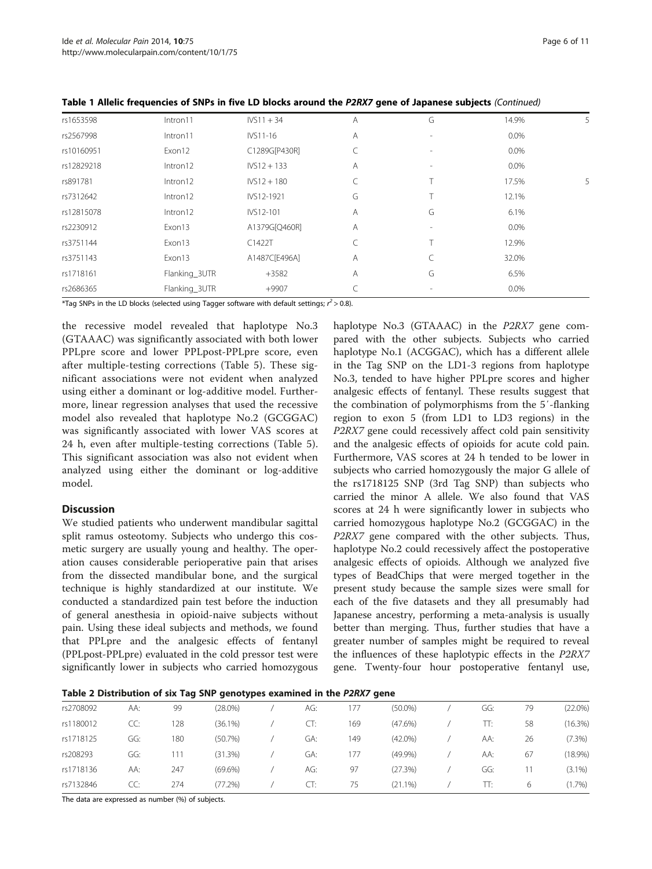| rs1653598  | Intron11      | $IVS11 + 34$  | Α | G | 14.9%   | 5 |
|------------|---------------|---------------|---|---|---------|---|
| rs2567998  | Intron11      | IVS11-16      | Α |   | $0.0\%$ |   |
| rs10160951 | Exon12        | C1289G[P430R] | C |   | $0.0\%$ |   |
| rs12829218 | Intron12      | $IVS12 + 133$ | A |   | $0.0\%$ |   |
| rs891781   | Intron12      | $IVS12 + 180$ |   |   | 17.5%   | 5 |
| rs7312642  | Intron12      | IVS12-1921    | G |   | 12.1%   |   |
| rs12815078 | Intron12      | IVS12-101     | Α | G | 6.1%    |   |
| rs2230912  | Exon13        | A1379G[Q460R] | Α |   | $0.0\%$ |   |
| rs3751144  | Exon13        | C1422T        | C |   | 12.9%   |   |
| rs3751143  | Exon13        | A1487C[E496A] | A |   | 32.0%   |   |
| rs1718161  | Flanking_3UTR | $+3582$       | Α | G | 6.5%    |   |
| rs2686365  | Flanking_3UTR | $+9907$       |   |   | $0.0\%$ |   |

<span id="page-5-0"></span>Table 1 Allelic frequencies of SNPs in five LD blocks around the P2RX7 gene of Japanese subjects (Continued)

\*Tag SNPs in the LD blocks (selected using Tagger software with default settings;  $r^2 > 0.8$ ).

the recessive model revealed that haplotype No.3 (GTAAAC) was significantly associated with both lower PPLpre score and lower PPLpost-PPLpre score, even after multiple-testing corrections (Table [5\)](#page-7-0). These significant associations were not evident when analyzed using either a dominant or log-additive model. Furthermore, linear regression analyses that used the recessive model also revealed that haplotype No.2 (GCGGAC) was significantly associated with lower VAS scores at 24 h, even after multiple-testing corrections (Table [5](#page-7-0)). This significant association was also not evident when analyzed using either the dominant or log-additive model.

#### **Discussion**

We studied patients who underwent mandibular sagittal split ramus osteotomy. Subjects who undergo this cosmetic surgery are usually young and healthy. The operation causes considerable perioperative pain that arises from the dissected mandibular bone, and the surgical technique is highly standardized at our institute. We conducted a standardized pain test before the induction of general anesthesia in opioid-naive subjects without pain. Using these ideal subjects and methods, we found that PPLpre and the analgesic effects of fentanyl (PPLpost-PPLpre) evaluated in the cold pressor test were significantly lower in subjects who carried homozygous

haplotype No.3 (GTAAAC) in the P2RX7 gene compared with the other subjects. Subjects who carried haplotype No.1 (ACGGAC), which has a different allele in the Tag SNP on the LD1-3 regions from haplotype No.3, tended to have higher PPLpre scores and higher analgesic effects of fentanyl. These results suggest that the combination of polymorphisms from the 5′-flanking region to exon 5 (from LD1 to LD3 regions) in the P2RX7 gene could recessively affect cold pain sensitivity and the analgesic effects of opioids for acute cold pain. Furthermore, VAS scores at 24 h tended to be lower in subjects who carried homozygously the major G allele of the rs1718125 SNP (3rd Tag SNP) than subjects who carried the minor A allele. We also found that VAS scores at 24 h were significantly lower in subjects who carried homozygous haplotype No.2 (GCGGAC) in the P2RX7 gene compared with the other subjects. Thus, haplotype No.2 could recessively affect the postoperative analgesic effects of opioids. Although we analyzed five types of BeadChips that were merged together in the present study because the sample sizes were small for each of the five datasets and they all presumably had Japanese ancestry, performing a meta-analysis is usually better than merging. Thus, further studies that have a greater number of samples might be required to reveal the influences of these haplotypic effects in the P2RX7 gene. Twenty-four hour postoperative fentanyl use,

Table 2 Distribution of six Tag SNP genotypes examined in the P2RX7 gene

| rs2708092 | AA: | 99  | $(28.0\%)$ | AG: | 177 | $(50.0\%)$ | GG: | 79 | $(22.0\%)$ |
|-----------|-----|-----|------------|-----|-----|------------|-----|----|------------|
| rs1180012 | CC: | 128 | $(36.1\%)$ | CI: | 169 | $(47.6\%)$ | TT: | 58 | $(16.3\%)$ |
| rs1718125 | GG: | 180 | (50.7%)    | GA: | 149 | $(42.0\%)$ | AA: | 26 | (7.3%)     |
| rs208293  | GG: | 111 | (31.3%)    | GA: | 177 | $(49.9\%)$ | AA: | 67 | $(18.9\%)$ |
| rs1718136 | AA: | 247 | $(69.6\%)$ | AG: | 97  | (27.3%)    | GG: |    | $(3.1\%)$  |
| rs7132846 | CC: | 274 | (77.2%)    | CT: | 75  | $(21.1\%)$ | TT: | 6  | (1.7%)     |

The data are expressed as number (%) of subjects.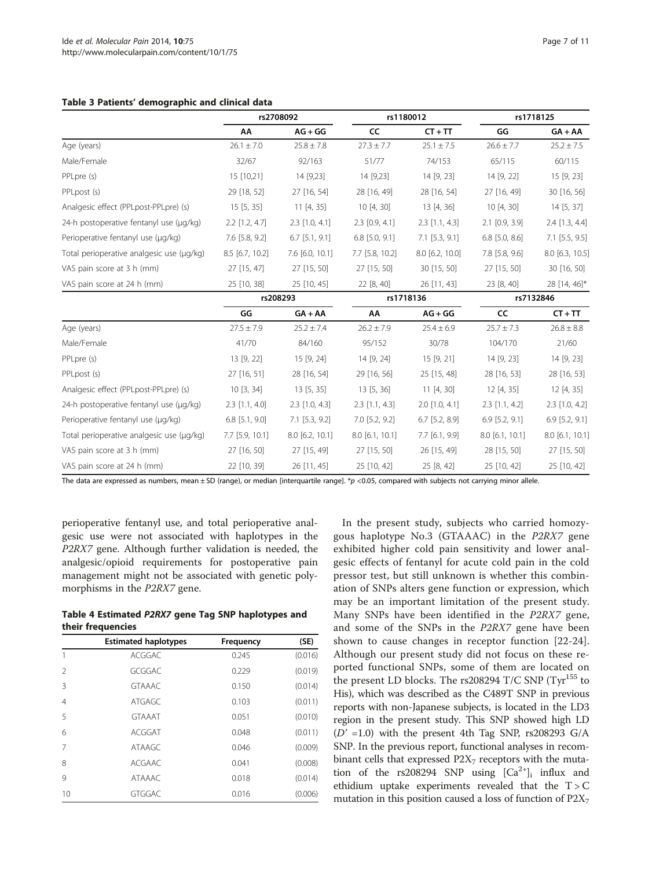#### <span id="page-6-0"></span>Table 3 Patients' demographic and clinical data

|                                           |                  | rs2708092        | rs1180012        |                  | rs1718125         |                  |  |
|-------------------------------------------|------------------|------------------|------------------|------------------|-------------------|------------------|--|
|                                           | AA               | $AG + GG$        | <b>CC</b>        | $CT + TT$        | GG                | $GA + AA$        |  |
| Age (years)                               | $26.1 \pm 7.0$   | $25.8 \pm 7.8$   | $27.3 \pm 7.7$   | $25.1 \pm 7.5$   | $26.6 \pm 7.7$    | $25.2 \pm 7.5$   |  |
| Male/Female                               | 32/67            | 92/163           | 51/77            | 74/153           | 65/115            | 60/115           |  |
| PPLpre (s)                                | 15 [10,21]       | 14 [9,23]        | 14 [9,23]        | 14 [9, 23]       | 14 [9, 22]        | 15 [9, 23]       |  |
| PPLpost (s)                               | 29 [18, 52]      | 27 [16, 54]      | 28 [16, 49]      | 28 [16, 54]      | 27 [16, 49]       | 30 [16, 56]      |  |
| Analgesic effect (PPLpost-PPLpre) (s)     | 15[5, 35]        | 11[4, 35]        | 10 [4, 30]       | 13 [4, 36]       | 10 [4, 30]        | 14 [5, 37]       |  |
| 24-h postoperative fentanyl use (µg/kg)   | $2.2$ [1.2, 4.7] | $2.3$ [1.0, 4.1] | $2.3$ [0.9, 4.1] | $2.3$ [1.1, 4.3] | $2.1$ [0.9, 3.9]  | $2.4$ [1.3, 4.4] |  |
| Perioperative fentanyl use (µg/kg)        | 7.6 [5.8, 9.2]   | $6.7$ [5.1, 9.1] | $6.8$ [5.0, 9.1] | $7.1$ [5.3, 9.1] | $6.8$ [5.0, 8.6]  | $7.1$ [5.5, 9.5] |  |
| Total perioperative analgesic use (µg/kg) | 8.5 [6.7, 10.2]  | 7.6 [6.0, 10.1]  | 7.7 [5.8, 10.2]  | 8.0 [6.2, 10.0]  | 7.8 [5.8, 9.6]    | 8.0 [6.3, 10.5]  |  |
| VAS pain score at 3 h (mm)                | 27 [15, 47]      | 27 [15, 50]      | 27 [15, 50]      | 30 [15, 50]      | 27 [15, 50]       | 30 [16, 50]      |  |
| VAS pain score at 24 h (mm)               | 25 [10, 38]      | 25 [10, 45]      | 22 [8, 40]       | 26 [11, 43]      | 23 [8, 40]        | 28 [14, 46]*     |  |
|                                           |                  | rs208293         |                  | rs1718136        |                   | rs7132846        |  |
|                                           | GG               | $GA + AA$        | AA               | $AG + GG$        | CC                | $CT + TT$        |  |
| Age (years)                               | $27.5 \pm 7.9$   | $25.2 \pm 7.4$   | $26.2 \pm 7.9$   | $25.4 \pm 6.9$   | $25.7 \pm 7.3$    | $26.8 \pm 8.8$   |  |
| Male/Female                               | 41/70            | 84/160           | 95/152           | 30/78            | 104/170           | 21/60            |  |
| PPLpre (s)                                | 13 [9, 22]       | 15 [9, 24]       | 14 [9, 24]       | 15 [9, 21]       | 14 [9, 23]        | 14 [9, 23]       |  |
| PPLpost (s)                               | 27 [16, 51]      | 28 [16, 54]      | 29 [16, 56]      | 25 [15, 48]      | 28 [16, 53]       | 28 [16, 53]      |  |
| Analgesic effect (PPLpost-PPLpre) (s)     | 10[3, 34]        | 13[5, 35]        | 13[5, 36]        | 11[4, 30]        | 12 [4, 35]        | 12 [4, 35]       |  |
| 24-h postoperative fentanyl use (µg/kg)   | $2.3$ [1.1, 4.0] | $2.3$ [1.0, 4.3] | $2.3$ [1.1, 4.3] | $2.0$ [1.0, 4.1] | $2.3$ [1.1, 4.2]  | $2.3$ [1.0, 4.2] |  |
| Perioperative fentanyl use (µg/kg)        | $6.8$ [5.1, 9.0] | $7.1$ [5.3, 9.2] | $7.0$ [5.2, 9.2] | $6.7$ [5.2, 8.9] | $6.9$ [5.2, 9.1]  | $6.9$ [5.2, 9.1] |  |
| Total perioperative analgesic use (µg/kg) | 7.7 [5.9, 10.1]  | 8.0 [6.2, 10.1]  | 8.0 [6.1, 10.1]  | 7.7 [6.1, 9.9]   | $8.0$ [6.1, 10.1] | 8.0 [6.1, 10.1]  |  |
| VAS pain score at 3 h (mm)                | 27 [16, 50]      | 27 [15, 49]      | 27 [15, 50]      | 26 [15, 49]      | 28 [15, 50]       | 27 [15, 50]      |  |
| VAS pain score at 24 h (mm)               | 22 [10, 39]      | 26 [11, 45]      | 25 [10, 42]      | 25 [8, 42]       | 25 [10, 42]       | 25 [10, 42]      |  |

The data are expressed as numbers, mean  $\pm$  SD (range), or median [interquartile range]. \*p <0.05, compared with subjects not carrying minor allele.

perioperative fentanyl use, and total perioperative analgesic use were not associated with haplotypes in the P2RX7 gene. Although further validation is needed, the analgesic/opioid requirements for postoperative pain management might not be associated with genetic polymorphisms in the P2RX7 gene.

| Table 4 Estimated P2RX7 gene Tag SNP haplotypes and |  |  |  |
|-----------------------------------------------------|--|--|--|
| their frequencies                                   |  |  |  |

|                | <b>Estimated haplotypes</b> | Frequency | (SE)    |
|----------------|-----------------------------|-----------|---------|
|                | <b>ACGGAC</b>               | 0.245     | (0.016) |
| $\mathcal{L}$  | GCGGAC                      | 0.229     | (0.019) |
| 3              | <b>GTAAAC</b>               | 0.150     | (0.014) |
| $\overline{4}$ | <b>ATGAGC</b>               | 0.103     | (0.011) |
| 5              | <b>GTAAAT</b>               | 0.051     | (0.010) |
| 6              | <b>ACGGAT</b>               | 0.048     | (0.011) |
| 7              | <b>ATAAGC</b>               | 0.046     | (0.009) |
| 8              | <b>ACGAAC</b>               | 0.041     | (0.008) |
| 9              | <b>ATAAAC</b>               | 0.018     | (0.014) |
| 10             | <b>GTGGAC</b>               | 0.016     | (0.006) |

In the present study, subjects who carried homozygous haplotype No.3 (GTAAAC) in the P2RX7 gene exhibited higher cold pain sensitivity and lower analgesic effects of fentanyl for acute cold pain in the cold pressor test, but still unknown is whether this combination of SNPs alters gene function or expression, which may be an important limitation of the present study. Many SNPs have been identified in the P2RX7 gene, and some of the SNPs in the P2RX7 gene have been shown to cause changes in receptor function [\[22-24](#page-9-0)]. Although our present study did not focus on these reported functional SNPs, some of them are located on the present LD blocks. The rs208294 T/C SNP  $(Tyr^{155})$  to His), which was described as the C489T SNP in previous reports with non-Japanese subjects, is located in the LD3 region in the present study. This SNP showed high LD  $(D' = 1.0)$  with the present 4th Tag SNP, rs208293 G/A SNP. In the previous report, functional analyses in recombinant cells that expressed  $P2X<sub>7</sub>$  receptors with the mutation of the rs208294 SNP using  $[Ca^{2+}]$ <sub>i</sub> influx and ethidium uptake experiments revealed that the  $T > C$ mutation in this position caused a loss of function of  $P2X_7$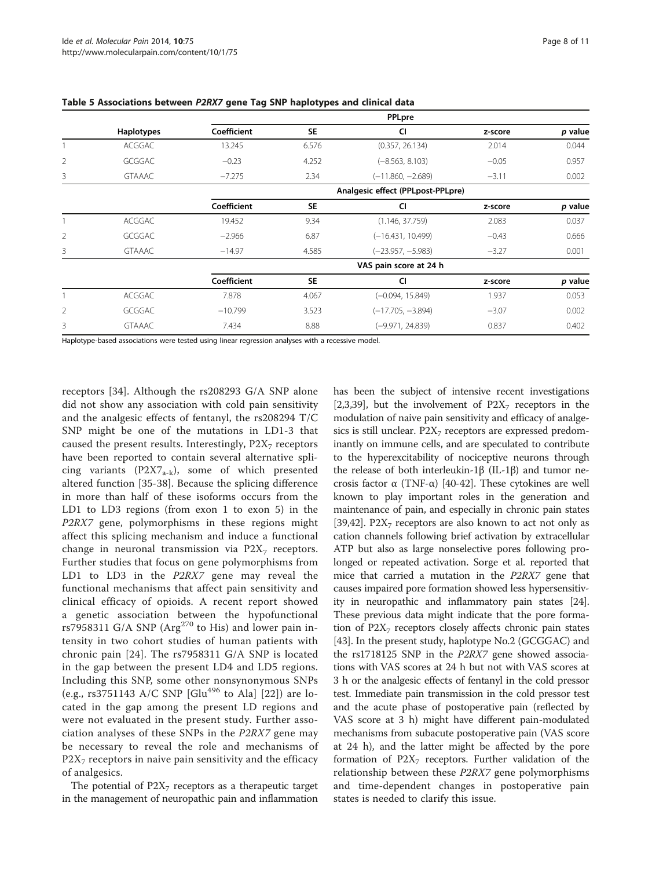|                |                   |                        |           | PPLpre                            |         |         |
|----------------|-------------------|------------------------|-----------|-----------------------------------|---------|---------|
|                | <b>Haplotypes</b> | Coefficient            | <b>SE</b> | <b>CI</b>                         | z-score | p value |
|                | ACGGAC            | 13.245                 | 6.576     | (0.357, 26.134)                   | 2.014   | 0.044   |
| $\overline{2}$ | <b>GCGGAC</b>     | $-0.23$                | 4.252     | $(-8.563, 8.103)$                 | $-0.05$ | 0.957   |
| 3              | <b>GTAAAC</b>     | $-7.275$               | 2.34      | $(-11.860, -2.689)$               | $-3.11$ | 0.002   |
|                |                   |                        |           | Analgesic effect (PPLpost-PPLpre) |         |         |
|                |                   | Coefficient            | <b>SE</b> | <b>CI</b>                         | z-score | p value |
|                | <b>ACGGAC</b>     | 19.452                 | 9.34      | (1.146, 37.759)                   | 2.083   | 0.037   |
| 2              | <b>GCGGAC</b>     | $-2.966$               | 6.87      | $(-16.431, 10.499)$               | $-0.43$ | 0.666   |
| 3              | <b>GTAAAC</b>     | $-14.97$               | 4.585     | $(-23.957, -5.983)$               | $-3.27$ | 0.001   |
|                |                   | VAS pain score at 24 h |           |                                   |         |         |
|                |                   | Coefficient            | <b>SE</b> | CI                                | z-score | p value |
|                | ACGGAC            | 7.878                  | 4.067     | $(-0.094, 15.849)$                | 1.937   | 0.053   |
| $\overline{2}$ | <b>GCGGAC</b>     | $-10.799$              | 3.523     | $(-17.705, -3.894)$               | $-3.07$ | 0.002   |
| 3              | <b>GTAAAC</b>     | 7.434                  | 8.88      | $(-9.971, 24.839)$                | 0.837   | 0.402   |

<span id="page-7-0"></span>

| Table 5 Associations between P2RX7 gene Tag SNP haplotypes and clinical data |  |  |  |
|------------------------------------------------------------------------------|--|--|--|
|------------------------------------------------------------------------------|--|--|--|

Haplotype-based associations were tested using linear regression analyses with a recessive model.

receptors [[34\]](#page-9-0). Although the rs208293 G/A SNP alone did not show any association with cold pain sensitivity and the analgesic effects of fentanyl, the rs208294 T/C SNP might be one of the mutations in LD1-3 that caused the present results. Interestingly,  $P2X<sub>7</sub>$  receptors have been reported to contain several alternative splicing variants (P2X7<sub>a-k</sub>), some of which presented altered function [[35-38](#page-9-0)]. Because the splicing difference in more than half of these isoforms occurs from the LD1 to LD3 regions (from exon 1 to exon 5) in the P2RX7 gene, polymorphisms in these regions might affect this splicing mechanism and induce a functional change in neuronal transmission via  $P2X<sub>7</sub>$  receptors. Further studies that focus on gene polymorphisms from LD1 to LD3 in the *P2RX7* gene may reveal the functional mechanisms that affect pain sensitivity and clinical efficacy of opioids. A recent report showed a genetic association between the hypofunctional rs7958311 G/A SNP (Arg<sup>270</sup> to His) and lower pain intensity in two cohort studies of human patients with chronic pain [[24](#page-9-0)]. The rs7958311 G/A SNP is located in the gap between the present LD4 and LD5 regions. Including this SNP, some other nonsynonymous SNPs (e.g., rs3751143 A/C SNP [Glu<sup>496</sup> to Ala] [[22](#page-9-0)]) are located in the gap among the present LD regions and were not evaluated in the present study. Further association analyses of these SNPs in the P2RX7 gene may be necessary to reveal the role and mechanisms of  $P2X<sub>7</sub>$  receptors in naive pain sensitivity and the efficacy of analgesics.

The potential of  $P2X_7$  receptors as a therapeutic target in the management of neuropathic pain and inflammation

has been the subject of intensive recent investigations [[2,3,](#page-8-0)[39](#page-9-0)], but the involvement of  $P2X<sub>7</sub>$  receptors in the modulation of naive pain sensitivity and efficacy of analgesics is still unclear.  $P2X<sub>7</sub>$  receptors are expressed predominantly on immune cells, and are speculated to contribute to the hyperexcitability of nociceptive neurons through the release of both interleukin-1β (IL-1β) and tumor necrosis factor α (TNF-α) [\[40-42\]](#page-9-0). These cytokines are well known to play important roles in the generation and maintenance of pain, and especially in chronic pain states [[39,42](#page-9-0)]. P2 $X<sub>7</sub>$  receptors are also known to act not only as cation channels following brief activation by extracellular ATP but also as large nonselective pores following prolonged or repeated activation. Sorge et al. reported that mice that carried a mutation in the *P2RX7* gene that causes impaired pore formation showed less hypersensitivity in neuropathic and inflammatory pain states [[24](#page-9-0)]. These previous data might indicate that the pore formation of  $P2X<sub>7</sub>$  receptors closely affects chronic pain states [[43](#page-9-0)]. In the present study, haplotype No.2 (GCGGAC) and the rs1718125 SNP in the P2RX7 gene showed associations with VAS scores at 24 h but not with VAS scores at 3 h or the analgesic effects of fentanyl in the cold pressor test. Immediate pain transmission in the cold pressor test and the acute phase of postoperative pain (reflected by VAS score at 3 h) might have different pain-modulated mechanisms from subacute postoperative pain (VAS score at 24 h), and the latter might be affected by the pore formation of  $P2X_7$  receptors. Further validation of the relationship between these P2RX7 gene polymorphisms and time-dependent changes in postoperative pain states is needed to clarify this issue.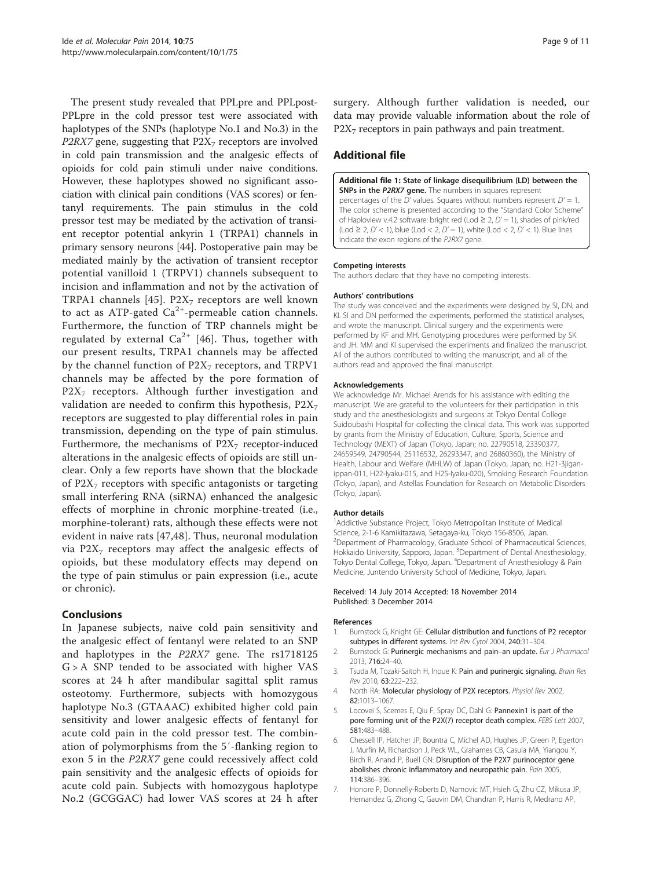<span id="page-8-0"></span>The present study revealed that PPLpre and PPLpost-PPLpre in the cold pressor test were associated with haplotypes of the SNPs (haplotype No.1 and No.3) in the P2RX7 gene, suggesting that  $P2X<sub>7</sub>$  receptors are involved in cold pain transmission and the analgesic effects of opioids for cold pain stimuli under naive conditions. However, these haplotypes showed no significant association with clinical pain conditions (VAS scores) or fentanyl requirements. The pain stimulus in the cold pressor test may be mediated by the activation of transient receptor potential ankyrin 1 (TRPA1) channels in primary sensory neurons [[44](#page-9-0)]. Postoperative pain may be mediated mainly by the activation of transient receptor potential vanilloid 1 (TRPV1) channels subsequent to incision and inflammation and not by the activation of TRPA1 channels [\[45\]](#page-9-0). P2 $X_7$  receptors are well known to act as ATP-gated  $Ca^{2+}$ -permeable cation channels. Furthermore, the function of TRP channels might be regulated by external  $Ca^{2+}$  [\[46\]](#page-9-0). Thus, together with our present results, TRPA1 channels may be affected by the channel function of  $P2X_7$  receptors, and TRPV1 channels may be affected by the pore formation of  $P2X<sub>7</sub>$  receptors. Although further investigation and validation are needed to confirm this hypothesis,  $P2X<sub>7</sub>$ receptors are suggested to play differential roles in pain transmission, depending on the type of pain stimulus. Furthermore, the mechanisms of  $P2X<sub>7</sub>$  receptor-induced alterations in the analgesic effects of opioids are still unclear. Only a few reports have shown that the blockade of  $P2X<sub>7</sub>$  receptors with specific antagonists or targeting small interfering RNA (siRNA) enhanced the analgesic effects of morphine in chronic morphine-treated (i.e., morphine-tolerant) rats, although these effects were not evident in naive rats [\[47](#page-10-0),[48\]](#page-10-0). Thus, neuronal modulation via  $P2X<sub>7</sub>$  receptors may affect the analgesic effects of opioids, but these modulatory effects may depend on the type of pain stimulus or pain expression (i.e., acute or chronic).

# Conclusions

In Japanese subjects, naive cold pain sensitivity and the analgesic effect of fentanyl were related to an SNP and haplotypes in the P2RX7 gene. The rs1718125  $G$  > A SNP tended to be associated with higher VAS scores at 24 h after mandibular sagittal split ramus osteotomy. Furthermore, subjects with homozygous haplotype No.3 (GTAAAC) exhibited higher cold pain sensitivity and lower analgesic effects of fentanyl for acute cold pain in the cold pressor test. The combination of polymorphisms from the 5′-flanking region to exon 5 in the P2RX7 gene could recessively affect cold pain sensitivity and the analgesic effects of opioids for acute cold pain. Subjects with homozygous haplotype No.2 (GCGGAC) had lower VAS scores at 24 h after surgery. Although further validation is needed, our data may provide valuable information about the role of  $P2X<sub>7</sub>$  receptors in pain pathways and pain treatment.

# Additional file

[Additional file 1:](http://www.biomedcentral.com/content/supplementary/1744-8069-10-75-S1.ppt) State of linkage disequilibrium (LD) between the SNPs in the P2RX7 gene. The numbers in squares represent percentages of the D' values. Squares without numbers represent  $D' = 1$ . The color scheme is presented according to the "Standard Color Scheme" of Haploview v.4.2 software: bright red (Lod  $\geq 2$ ,  $D' = 1$ ), shades of pink/red  $(\text{Lod } 2, D' < 1)$ , blue  $(\text{Lod } 2, D' = 1)$ , white  $(\text{Lod } 2, D' < 1)$ . Blue lines indicate the exon regions of the P2RX7 gene.

#### Competing interests

The authors declare that they have no competing interests.

#### Authors' contributions

The study was conceived and the experiments were designed by SI, DN, and KI. SI and DN performed the experiments, performed the statistical analyses, and wrote the manuscript. Clinical surgery and the experiments were performed by KF and MH. Genotyping procedures were performed by SK and JH. MM and KI supervised the experiments and finalized the manuscript. All of the authors contributed to writing the manuscript, and all of the authors read and approved the final manuscript.

#### Acknowledgements

We acknowledge Mr. Michael Arends for his assistance with editing the manuscript. We are grateful to the volunteers for their participation in this study and the anesthesiologists and surgeons at Tokyo Dental College Suidoubashi Hospital for collecting the clinical data. This work was supported by grants from the Ministry of Education, Culture, Sports, Science and Technology (MEXT) of Japan (Tokyo, Japan; no. 22790518, 23390377, 24659549, 24790544, 25116532, 26293347, and 26860360), the Ministry of Health, Labour and Welfare (MHLW) of Japan (Tokyo, Japan; no. H21-3jiganippan-011, H22-Iyaku-015, and H25-Iyaku-020), Smoking Research Foundation (Tokyo, Japan), and Astellas Foundation for Research on Metabolic Disorders (Tokyo, Japan).

#### Author details

<sup>1</sup> Addictive Substance Project, Tokyo Metropolitan Institute of Medical Science, 2-1-6 Kamikitazawa, Setagaya-ku, Tokyo 156-8506, Japan. <sup>2</sup>Department of Pharmacology, Graduate School of Pharmaceutical Sciences Hokkaido University, Sapporo, Japan. <sup>3</sup>Department of Dental Anesthesiology, Tokyo Dental College, Tokyo, Japan. <sup>4</sup>Department of Anesthesiology & Pain Medicine, Juntendo University School of Medicine, Tokyo, Japan.

#### Received: 14 July 2014 Accepted: 18 November 2014 Published: 3 December 2014

#### References

- 1. Burnstock G, Knight GE: Cellular distribution and functions of P2 receptor subtypes in different systems. Int Rev Cytol 2004, 240:31-304.
- 2. Burnstock G: Purinergic mechanisms and pain-an update. Eur J Pharmacol 2013, 716:24–40.
- 3. Tsuda M, Tozaki-Saitoh H, Inoue K: Pain and purinergic signaling. Brain Res Rev 2010, 63:222–232.
- 4. North RA: Molecular physiology of P2X receptors. Physiol Rev 2002, 82:1013–1067.
- 5. Locovei S, Scemes E, Qiu F, Spray DC, Dahl G: Pannexin1 is part of the pore forming unit of the P2X(7) receptor death complex. FEBS Lett 2007, 581:483–488.
- 6. Chessell IP, Hatcher JP, Bountra C, Michel AD, Hughes JP, Green P, Egerton J, Murfin M, Richardson J, Peck WL, Grahames CB, Casula MA, Yiangou Y, Birch R, Anand P, Buell GN: Disruption of the P2X7 purinoceptor gene abolishes chronic inflammatory and neuropathic pain. Pain 2005, 114:386–396.
- 7. Honore P, Donnelly-Roberts D, Namovic MT, Hsieh G, Zhu CZ, Mikusa JP, Hernandez G, Zhong C, Gauvin DM, Chandran P, Harris R, Medrano AP,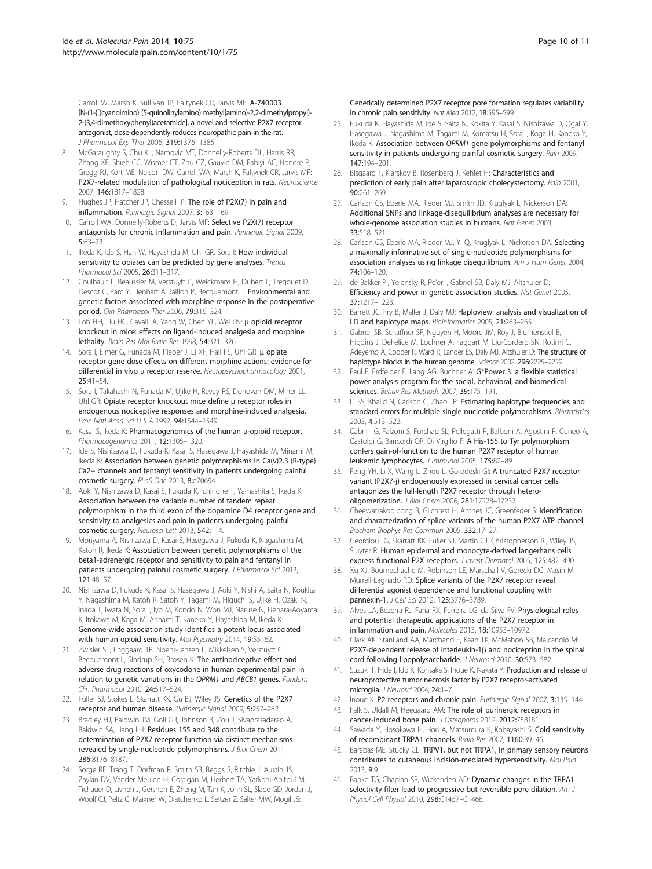<span id="page-9-0"></span>Carroll W, Marsh K, Sullivan JP, Faltynek CR, Jarvis MF: A-740003 [N-(1-{[(cyanoimino) (5-quinolinylamino) methyl]amino}-2,2-dimethylpropyl)- 2-(3,4-dimethoxyphenyl)acetamide], a novel and selective P2X7 receptor antagonist, dose-dependently reduces neuropathic pain in the rat. J Pharmacol Exp Ther 2006, 319:1376–1385.

- 8. McGaraughty S, Chu KL, Namovic MT, Donnelly-Roberts DL, Harris RR, Zhang XF, Shieh CC, Wismer CT, Zhu CZ, Gauvin DM, Fabiyi AC, Honore P, Gregg RJ, Kort ME, Nelson DW, Carroll WA, Marsh K, Faltynek CR, Jarvis MF: P2X7-related modulation of pathological nociception in rats. Neuroscience 2007, 146:1817–1828.
- Hughes JP, Hatcher JP, Chessell IP: The role of P2X(7) in pain and inflammation. Purinergic Signal 2007, 3:163–169.
- 10. Carroll WA, Donnelly-Roberts D, Jarvis MF: Selective P2X(7) receptor antagonists for chronic inflammation and pain. Purinergic Signal 2009, 5:63–73.
- 11. Ikeda K, Ide S, Han W, Hayashida M, Uhl GR, Sora I: How individual sensitivity to opiates can be predicted by gene analyses. Trends Pharmacol Sci 2005, 26:311–317.
- 12. Coulbault L, Beaussier M, Verstuyft C, Weickmans H, Dubert L, Tregouet D, Descot C, Parc Y, Lienhart A, Jaillon P, Becquemont L: Environmental and genetic factors associated with morphine response in the postoperative period. Clin Pharmacol Ther 2006, 79:316–324.
- 13. Loh HH, Liu HC, Cavalli A, Yang W, Chen YF, Wei LN: μ opioid receptor knockout in mice: effects on ligand-induced analgesia and morphine lethality. Brain Res Mol Brain Res 1998, 54:321–326.
- 14. Sora I, Elmer G, Funada M, Pieper J, Li XF, Hall FS, Uhl GR: μ opiate receptor gene dose effects on different morphine actions: evidence for differential in vivo μ receptor reserve. Neuropsychopharmacology 2001, 25:41–54.
- 15. Sora I, Takahashi N, Funada M, Ujike H, Revay RS, Donovan DM, Miner LL, Uhl GR: Opiate receptor knockout mice define μ receptor roles in endogenous nociceptive responses and morphine-induced analgesia. Proc Natl Acad Sci U S A 1997, 94:1544–1549.
- 16. Kasai S, Ikeda K: Pharmacogenomics of the human μ-opioid receptor. Pharmacogenomics 2011, 12:1305–1320.
- 17. Ide S, Nishizawa D, Fukuda K, Kasai S, Hasegawa J, Hayashida M, Minami M, Ikeda K: Association between genetic polymorphisms in Ca(v)2.3 (R-type) Ca2+ channels and fentanyl sensitivity in patients undergoing painful cosmetic surgery. PLoS One 2013, 8:e70694.
- 18. Aoki Y, Nishizawa D, Kasai S, Fukuda K, Ichinohe T, Yamashita S, Ikeda K: Association between the variable number of tandem repeat polymorphism in the third exon of the dopamine D4 receptor gene and sensitivity to analgesics and pain in patients undergoing painful cosmetic surgery. Neurosci Lett 2013, 542:1–4.
- 19. Moriyama A, Nishizawa D, Kasai S, Hasegawa J, Fukuda K, Nagashima M, Katoh R, Ikeda K: Association between genetic polymorphisms of the beta1-adrenergic receptor and sensitivity to pain and fentanyl in patients undergoing painful cosmetic surgery. J Pharmacol Sci 2013, 121:48–57.
- 20. Nishizawa D, Fukuda K, Kasai S, Hasegawa J, Aoki Y, Nishi A, Saita N, Koukita Y, Nagashima M, Katoh R, Satoh Y, Tagami M, Higuchi S, Ujike H, Ozaki N, Inada T, Iwata N, Sora I, Iyo M, Kondo N, Won MJ, Naruse N, Uehara-Aoyama K, Itokawa M, Koga M, Arinami T, Kaneko Y, Hayashida M, Ikeda K: Genome-wide association study identifies a potent locus associated with human opioid sensitivity. Mol Psychiatry 2014, 19:55-62.
- 21. Zwisler ST, Enggaard TP, Noehr-Jensen L, Mikkelsen S, Verstuyft C, Becquemont L, Sindrup SH, Brosen K: The antinociceptive effect and adverse drug reactions of oxycodone in human experimental pain in relation to genetic variations in the OPRM1 and ABCB1 genes. Fundam Clin Pharmacol 2010, 24:517–524.
- 22. Fuller SJ, Stokes L, Skarratt KK, Gu BJ, Wiley JS: Genetics of the P2X7 receptor and human disease. Purinergic Signal 2009, 5:257–262.
- 23. Bradley HJ, Baldwin JM, Goli GR, Johnson B, Zou J, Sivaprasadarao A, Baldwin SA, Jiang LH: Residues 155 and 348 contribute to the determination of P2X7 receptor function via distinct mechanisms revealed by single-nucleotide polymorphisms. J Biol Chem 2011, 286:8176–8187.
- 24. Sorge RE, Trang T, Dorfman R, Smith SB, Beggs S, Ritchie J, Austin JS, Zaykin DV, Vander Meulen H, Costigan M, Herbert TA, Yarkoni-Abitbul M, Tichauer D, Livneh J, Gershon E, Zheng M, Tan K, John SL, Slade GD, Jordan J, Woolf CJ, Peltz G, Maixner W, Diatchenko L, Seltzer Z, Salter MW, Mogil JS:

Genetically determined P2X7 receptor pore formation regulates variability in chronic pain sensitivity. Nat Med 2012, 18:595–599.

- 25. Fukuda K, Hayashida M, Ide S, Saita N, Kokita Y, Kasai S, Nishizawa D, Ogai Y, Hasegawa J, Nagashima M, Tagami M, Komatsu H, Sora I, Koga H, Kaneko Y, Ikeda K: Association between OPRM1 gene polymorphisms and fentanyl sensitivity in patients undergoing painful cosmetic surgery. Pain 2009, 147:194–201.
- 26. Bisgaard T, Klarskov B, Rosenberg J, Kehlet H: Characteristics and prediction of early pain after laparoscopic cholecystectomy. Pain 2001, 90:261–269.
- 27. Carlson CS, Eberle MA, Rieder MJ, Smith JD, Kruglyak L, Nickerson DA: Additional SNPs and linkage-disequilibrium analyses are necessary for whole-genome association studies in humans. Nat Genet 2003, 33:518–521.
- 28. Carlson CS, Eberle MA, Rieder MJ, Yi Q, Kruglyak L, Nickerson DA: Selecting a maximally informative set of single-nucleotide polymorphisms for association analyses using linkage disequilibrium. Am J Hum Genet 2004, 74:106–120.
- 29. de Bakker PI, Yelensky R, Pe'er I, Gabriel SB, Daly MJ, Altshuler D: Efficiency and power in genetic association studies. Nat Genet 2005, 37:1217–1223.
- 30. Barrett JC, Fry B, Maller J, Daly MJ: Haploview: analysis and visualization of LD and haplotype maps. Bioinformatics 2005, 21:263-265.
- 31. Gabriel SB, Schaffner SF, Nguyen H, Moore JM, Roy J, Blumenstiel B, Higgins J, DeFelice M, Lochner A, Faggart M, Liu-Cordero SN, Rotimi C, Adeyemo A, Cooper R, Ward R, Lander ES, Daly MJ, Altshuler D: The structure of haplotype blocks in the human genome. Science 2002, 296:2225-2229.
- 32. Faul F, Erdfelder E, Lang AG, Buchner A: G\*Power 3: a flexible statistical power analysis program for the social, behavioral, and biomedical sciences. Behav Res Methods 2007, 39:175–191.
- 33. Li SS, Khalid N, Carlson C, Zhao LP: Estimating haplotype frequencies and standard errors for multiple single nucleotide polymorphisms. Biostatistics 2003, 4:513–522.
- 34. Cabrini G, Falzoni S, Forchap SL, Pellegatti P, Balboni A, Agostini P, Cuneo A, Castoldi G, Baricordi OR, Di Virgilio F: A His-155 to Tyr polymorphism confers gain-of-function to the human P2X7 receptor of human leukemic lymphocytes. J Immunol 2005, 175:82–89.
- 35. Feng YH, Li X, Wang L, Zhou L, Gorodeski GI: A truncated P2X7 receptor variant (P2X7-j) endogenously expressed in cervical cancer cells antagonizes the full-length P2X7 receptor through heterooligomerization. J Biol Chem 2006, 281:17228–17237.
- 36. Cheewatrakoolpong B, Gilchrest H, Anthes JC, Greenfeder S: Identification and characterization of splice variants of the human P2X7 ATP channel. Biochem Biophys Res Commun 2005, 332:17–27.
- 37. Georgiou JG, Skarratt KK, Fuller SJ, Martin CJ, Christopherson RI, Wiley JS, Sluyter R: Human epidermal and monocyte-derived langerhans cells express functional P2X receptors. J Invest Dermatol 2005, 125:482-490.
- 38. Xu XJ, Boumechache M, Robinson LE, Marschall V, Gorecki DC, Masin M, Murrell-Lagnado RD: Splice variants of the P2X7 receptor reveal differential agonist dependence and functional coupling with pannexin-1. J Cell Sci 2012, 125:3776–3789.
- 39. Alves LA, Bezerra RJ, Faria RX, Ferreira LG, da Silva FV: Physiological roles and potential therapeutic applications of the P2X7 receptor in inflammation and pain. Molecules 2013, 18:10953–10972.
- 40. Clark AK, Staniland AA, Marchand F, Kaan TK, McMahon SB, Malcangio M: P2X7-dependent release of interleukin-1β and nociception in the spinal cord following lipopolysaccharide. J Neurosci 2010, 30:573-582
- 41. Suzuki T, Hide I, Ido K, Kohsaka S, Inoue K, Nakata Y: Production and release of neuroprotective tumor necrosis factor by P2X7 receptor-activated microglia. J Neurosci 2004, 24:1–7.
- 42. Inoue K: P2 receptors and chronic pain. Purinergic Signal 2007, 3:135-144.
- 43. Falk S, Uldall M, Heegaard AM: The role of purinergic receptors in cancer-induced bone pain. J Osteoporos 2012, 2012:758181.
- 44. Sawada Y, Hosokawa H, Hori A, Matsumura K, Kobayashi S: Cold sensitivity of recombinant TRPA1 channels. Brain Res 2007, 1160:39–46.
- 45. Barabas ME, Stucky CL: TRPV1, but not TRPA1, in primary sensory neurons contributes to cutaneous incision-mediated hypersensitivity. Mol Pain 2013, 9:9.
- 46. Banke TG, Chaplan SR, Wickenden AD: Dynamic changes in the TRPA1 selectivity filter lead to progressive but reversible pore dilation. Am J Physiol Cell Physiol 2010, 298:C1457–C1468.